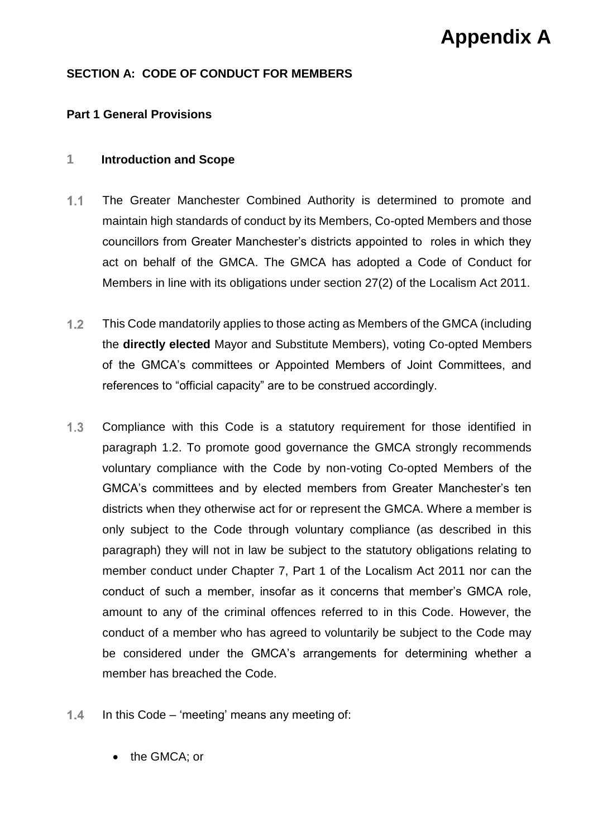# **Appendix A**

## **SECTION A: CODE OF CONDUCT FOR MEMBERS**

## **Part 1 General Provisions**

#### **1 Introduction and Scope**

- $1.1$ The Greater Manchester Combined Authority is determined to promote and maintain high standards of conduct by its Members, Co-opted Members and those councillors from Greater Manchester's districts appointed to roles in which they act on behalf of the GMCA. The GMCA has adopted a Code of Conduct for Members in line with its obligations under section 27(2) of the Localism Act 2011.
- $1.2<sub>1</sub>$ This Code mandatorily applies to those acting as Members of the GMCA (including the **directly elected** Mayor and Substitute Members), voting Co-opted Members of the GMCA's committees or Appointed Members of Joint Committees, and references to "official capacity" are to be construed accordingly.
- $1.3$ Compliance with this Code is a statutory requirement for those identified in paragraph 1.2. To promote good governance the GMCA strongly recommends voluntary compliance with the Code by non-voting Co-opted Members of the GMCA's committees and by elected members from Greater Manchester's ten districts when they otherwise act for or represent the GMCA. Where a member is only subject to the Code through voluntary compliance (as described in this paragraph) they will not in law be subject to the statutory obligations relating to member conduct under Chapter 7, Part 1 of the Localism Act 2011 nor can the conduct of such a member, insofar as it concerns that member's GMCA role, amount to any of the criminal offences referred to in this Code. However, the conduct of a member who has agreed to voluntarily be subject to the Code may be considered under the GMCA's arrangements for determining whether a member has breached the Code.
- $1.4$ In this Code – 'meeting' means any meeting of:
	- the GMCA; or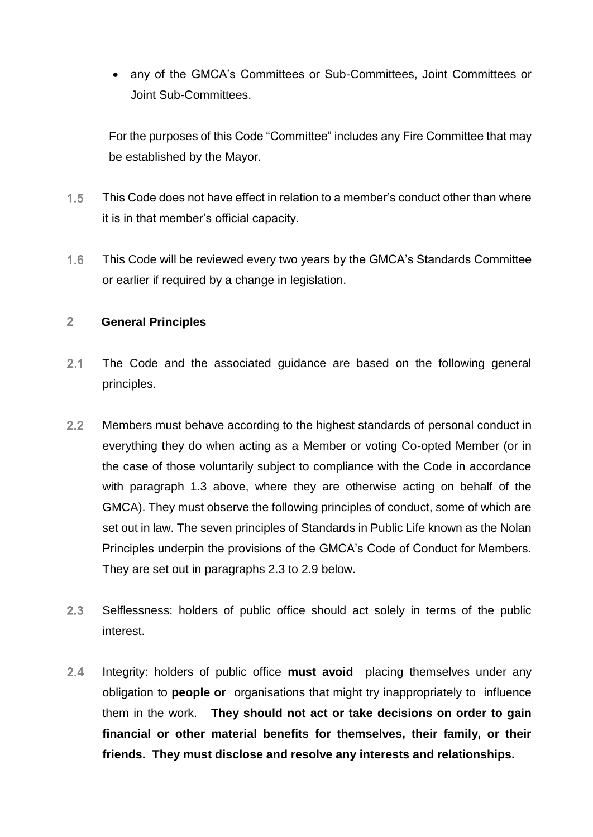any of the GMCA's Committees or Sub-Committees, Joint Committees or Joint Sub-Committees.

For the purposes of this Code "Committee" includes any Fire Committee that may be established by the Mayor.

- $1.5$ This Code does not have effect in relation to a member's conduct other than where it is in that member's official capacity.
- $1.6$ This Code will be reviewed every two years by the GMCA's Standards Committee or earlier if required by a change in legislation.

# **2 General Principles**

- $2.1$ The Code and the associated guidance are based on the following general principles.
- $2.2<sub>2</sub>$ Members must behave according to the highest standards of personal conduct in everything they do when acting as a Member or voting Co-opted Member (or in the case of those voluntarily subject to compliance with the Code in accordance with paragraph 1.3 above, where they are otherwise acting on behalf of the GMCA). They must observe the following principles of conduct, some of which are set out in law. The seven principles of Standards in Public Life known as the Nolan Principles underpin the provisions of the GMCA's Code of Conduct for Members. They are set out in paragraphs 2.3 to 2.9 below.
- $2.3$ Selflessness: holders of public office should act solely in terms of the public interest.
- $2.4$ Integrity: holders of public office **must avoid** placing themselves under any obligation to **people or** organisations that might try inappropriately to influence them in the work. **They should not act or take decisions on order to gain financial or other material benefits for themselves, their family, or their friends. They must disclose and resolve any interests and relationships.**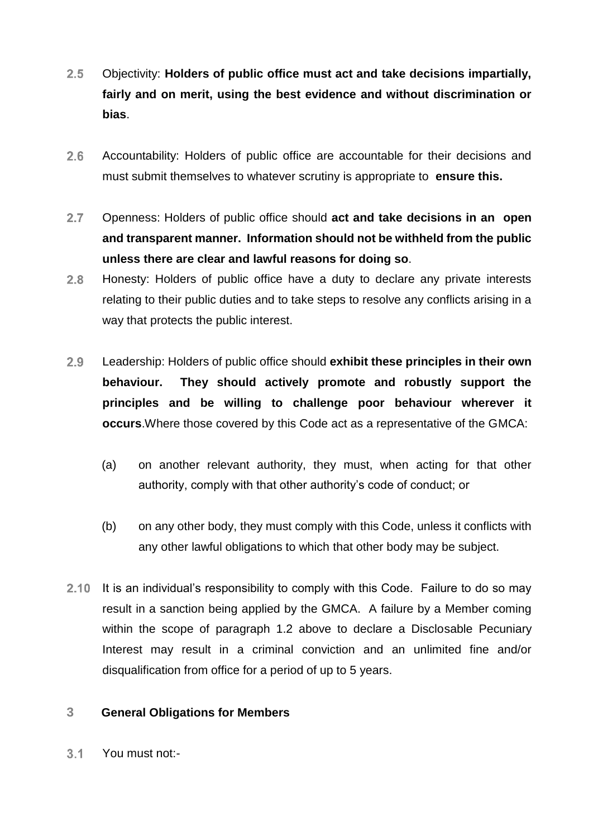- $2.5$ Objectivity: **Holders of public office must act and take decisions impartially, fairly and on merit, using the best evidence and without discrimination or bias**.
- $2.6$ Accountability: Holders of public office are accountable for their decisions and must submit themselves to whatever scrutiny is appropriate to **ensure this.**
- $2.7$ Openness: Holders of public office should **act and take decisions in an open and transparent manner. Information should not be withheld from the public unless there are clear and lawful reasons for doing so**.
- $2.8$ Honesty: Holders of public office have a duty to declare any private interests relating to their public duties and to take steps to resolve any conflicts arising in a way that protects the public interest.
- $2.9$ Leadership: Holders of public office should **exhibit these principles in their own behaviour. They should actively promote and robustly support the principles and be willing to challenge poor behaviour wherever it occurs**.Where those covered by this Code act as a representative of the GMCA:
	- (a) on another relevant authority, they must, when acting for that other authority, comply with that other authority's code of conduct; or
	- (b) on any other body, they must comply with this Code, unless it conflicts with any other lawful obligations to which that other body may be subject.
- 2.10 It is an individual's responsibility to comply with this Code. Failure to do so may result in a sanction being applied by the GMCA. A failure by a Member coming within the scope of paragraph 1.2 above to declare a Disclosable Pecuniary Interest may result in a criminal conviction and an unlimited fine and/or disqualification from office for a period of up to 5 years.

# **3 General Obligations for Members**

 $3.1$ You must not:-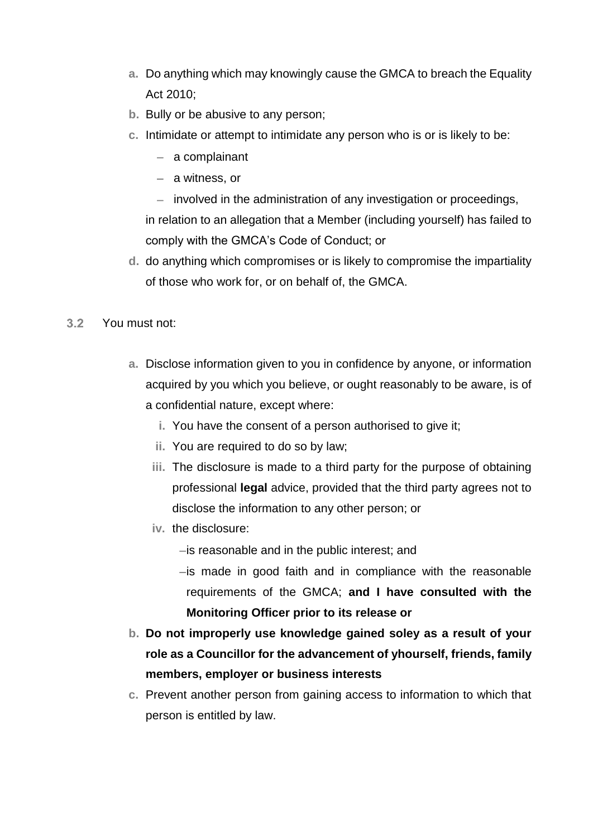- **a.** Do anything which may knowingly cause the GMCA to breach the Equality Act 2010;
- **b.** Bully or be abusive to any person;
- **c.** Intimidate or attempt to intimidate any person who is or is likely to be:
	- $-$  a complainant
	- $-$  a witness, or
	- $-$  involved in the administration of any investigation or proceedings, in relation to an allegation that a Member (including yourself) has failed to comply with the GMCA's Code of Conduct; or
- **d.** do anything which compromises or is likely to compromise the impartiality of those who work for, or on behalf of, the GMCA.
- $3.2$ You must not:
	- **a.** Disclose information given to you in confidence by anyone, or information acquired by you which you believe, or ought reasonably to be aware, is of a confidential nature, except where:
		- **i.** You have the consent of a person authorised to give it;
		- **ii.** You are required to do so by law;
		- **iii.** The disclosure is made to a third party for the purpose of obtaining professional **legal** advice, provided that the third party agrees not to disclose the information to any other person; or
		- **iv.** the disclosure:
			- $-i$ s reasonable and in the public interest; and
			- $-i$ s made in good faith and in compliance with the reasonable requirements of the GMCA; **and I have consulted with the Monitoring Officer prior to its release or**
	- **b. Do not improperly use knowledge gained soley as a result of your role as a Councillor for the advancement of yhourself, friends, family members, employer or business interests**
	- **c.** Prevent another person from gaining access to information to which that person is entitled by law.